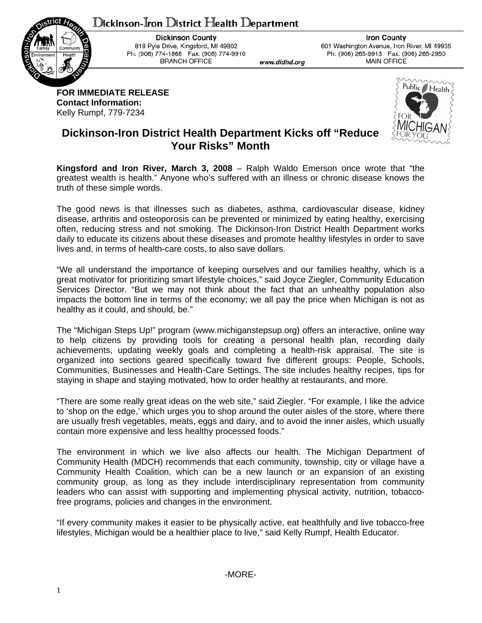## $D$ ickinson-Iron  $D$ istrict Health  $D$ epartment



**Dickinson County** 818 Pyle Drive, Kingsford, MI 49802 Ph: (906) 774-1868 Fax: (906) 774-9910 **BRANCH OFFICE** 

**Iron County** 601 Washington Avenue, Iron River, MI 49935 Ph: (906) 265-9913 Fax: (906) 265-2950 **MAIN OFFICE** 

**FOR IMMEDIATE RELEASE Contact Information:**  Kelly Rumpf, 779-7234



## **Dickinson-Iron District Health Department Kicks off "Reduce Your Risks" Month**

**Kingsford and Iron River, March 3, 2008** – Ralph Waldo Emerson once wrote that "the greatest wealth is health." Anyone who's suffered with an illness or chronic disease knows the truth of these simple words.

www.didhd.org

The good news is that illnesses such as diabetes, asthma, cardiovascular disease, kidney disease, arthritis and osteoporosis can be prevented or minimized by eating healthy, exercising often, reducing stress and not smoking. The Dickinson-Iron District Health Department works daily to educate its citizens about these diseases and promote healthy lifestyles in order to save lives and, in terms of health-care costs, to also save dollars.

"We all understand the importance of keeping ourselves and our families healthy, which is a great motivator for prioritizing smart lifestyle choices," said Joyce Ziegler, Community Education Services Director. "But we may not think about the fact that an unhealthy population also impacts the bottom line in terms of the economy; we all pay the price when Michigan is not as healthy as it could, and should, be."

The "Michigan Steps Up!" program (www.michiganstepsup.org) offers an interactive, online way to help citizens by providing tools for creating a personal health plan, recording daily achievements, updating weekly goals and completing a health-risk appraisal. The site is organized into sections geared specifically toward five different groups: People, Schools, Communities, Businesses and Health-Care Settings. The site includes healthy recipes, tips for staying in shape and staying motivated, how to order healthy at restaurants, and more.

"There are some really great ideas on the web site," said Ziegler. "For example, I like the advice to 'shop on the edge,' which urges you to shop around the outer aisles of the store, where there are usually fresh vegetables, meats, eggs and dairy, and to avoid the inner aisles, which usually contain more expensive and less healthy processed foods."

The environment in which we live also affects our health. The Michigan Department of Community Health (MDCH) recommends that each community, township, city or village have a Community Health Coalition, which can be a new launch or an expansion of an existing community group, as long as they include interdisciplinary representation from community leaders who can assist with supporting and implementing physical activity, nutrition, tobaccofree programs, policies and changes in the environment.

"If every community makes it easier to be physically active, eat healthfully and live tobacco-free lifestyles, Michigan would be a healthier place to live," said Kelly Rumpf, Health Educator.